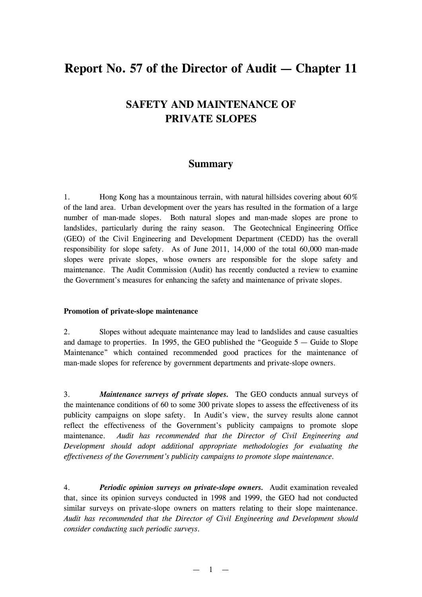# **Report No. 57 of the Director of Audit — Chapter 11**

## **SAFETY AND MAINTENANCE OF PRIVATE SLOPES**

### **Summary**

1. Hong Kong has a mountainous terrain, with natural hillsides covering about 60% of the land area. Urban development over the years has resulted in the formation of a large number of man-made slopes. Both natural slopes and man-made slopes are prone to landslides, particularly during the rainy season. The Geotechnical Engineering Office (GEO) of the Civil Engineering and Development Department (CEDD) has the overall responsibility for slope safety. As of June 2011, 14,000 of the total 60,000 man-made slopes were private slopes, whose owners are responsible for the slope safety and maintenance. The Audit Commission (Audit) has recently conducted a review to examine the Government's measures for enhancing the safety and maintenance of private slopes.

#### **Promotion of private-slope maintenance**

2. Slopes without adequate maintenance may lead to landslides and cause casualties and damage to properties. In 1995, the GEO published the "Geoguide  $5 -$  Guide to Slope Maintenance" which contained recommended good practices for the maintenance of man-made slopes for reference by government departments and private-slope owners.

3. *Maintenance surveys of private slopes.* The GEO conducts annual surveys of the maintenance conditions of 60 to some 300 private slopes to assess the effectiveness of its publicity campaigns on slope safety. In Audit's view, the survey results alone cannot reflect the effectiveness of the Government's publicity campaigns to promote slope maintenance. *Audit has recommended that the Director of Civil Engineering and Development should adopt additional appropriate methodologies for evaluating the effectiveness of the Government's publicity campaigns to promote slope maintenance.*

4. *Periodic opinion surveys on private-slope owners.* Audit examination revealed that, since its opinion surveys conducted in 1998 and 1999, the GEO had not conducted similar surveys on private-slope owners on matters relating to their slope maintenance. *Audit has recommended that the Director of Civil Engineering and Development should consider conducting such periodic surveys.*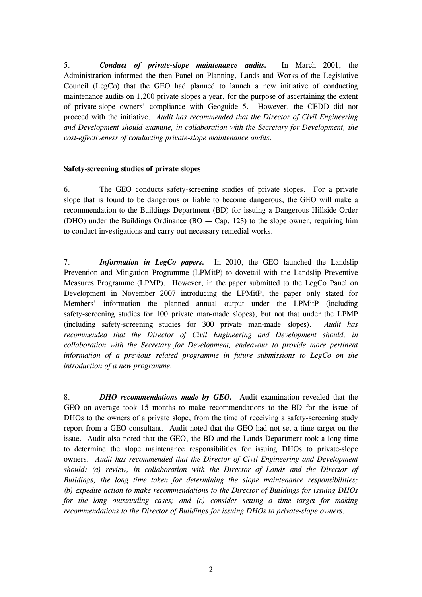5. *Conduct of private-slope maintenance audits.* In March 2001, the Administration informed the then Panel on Planning, Lands and Works of the Legislative Council (LegCo) that the GEO had planned to launch a new initiative of conducting maintenance audits on 1,200 private slopes a year, for the purpose of ascertaining the extent of private-slope owners' compliance with Geoguide 5. However, the CEDD did not proceed with the initiative. *Audit has recommended that the Director of Civil Engineering and Development should examine, in collaboration with the Secretary for Development, the cost-effectiveness of conducting private-slope maintenance audits.*

#### **Safety-screening studies of private slopes**

6. The GEO conducts safety-screening studies of private slopes. For a private slope that is found to be dangerous or liable to become dangerous, the GEO will make a recommendation to the Buildings Department (BD) for issuing a Dangerous Hillside Order (DHO) under the Buildings Ordinance (BO  $-$  Cap. 123) to the slope owner, requiring him to conduct investigations and carry out necessary remedial works.

7. *Information in LegCo papers.* In 2010, the GEO launched the Landslip Prevention and Mitigation Programme (LPMitP) to dovetail with the Landslip Preventive Measures Programme (LPMP). However, in the paper submitted to the LegCo Panel on Development in November 2007 introducing the LPMitP, the paper only stated for Members' information the planned annual output under the LPMitP (including safety-screening studies for 100 private man-made slopes), but not that under the LPMP (including safety-screening studies for 300 private man-made slopes). *Audit has recommended that the Director of Civil Engineering and Development should, in collaboration with the Secretary for Development, endeavour to provide more pertinent information of a previous related programme in future submissions to LegCo on the introduction of a new programme.* 

8. *DHO recommendations made by GEO.* Audit examination revealed that the GEO on average took 15 months to make recommendations to the BD for the issue of DHOs to the owners of a private slope, from the time of receiving a safety-screening study report from a GEO consultant. Audit noted that the GEO had not set a time target on the issue. Audit also noted that the GEO, the BD and the Lands Department took a long time to determine the slope maintenance responsibilities for issuing DHOs to private-slope owners. *Audit has recommended that the Director of Civil Engineering and Development should: (a) review, in collaboration with the Director of Lands and the Director of Buildings, the long time taken for determining the slope maintenance responsibilities; (b) expedite action to make recommendations to the Director of Buildings for issuing DHOs for the long outstanding cases; and (c) consider setting a time target for making recommendations to the Director of Buildings for issuing DHOs to private-slope owners.*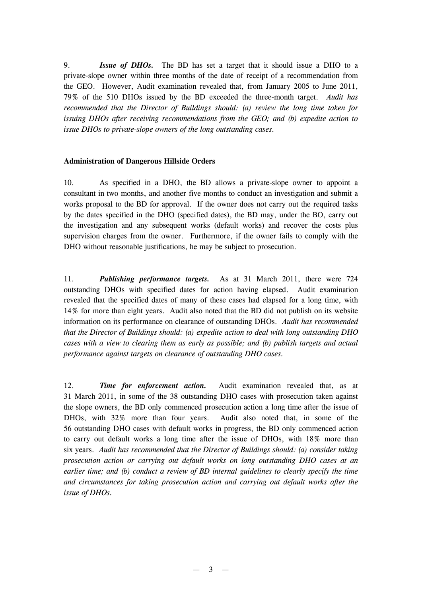9. *Issue of DHOs.* The BD has set a target that it should issue a DHO to a private-slope owner within three months of the date of receipt of a recommendation from the GEO. However, Audit examination revealed that, from January 2005 to June 2011, 79% of the 510 DHOs issued by the BD exceeded the three-month target. *Audit has recommended that the Director of Buildings should: (a) review the long time taken for issuing DHOs after receiving recommendations from the GEO; and (b) expedite action to issue DHOs to private-slope owners of the long outstanding cases.*

#### **Administration of Dangerous Hillside Orders**

10. As specified in a DHO, the BD allows a private-slope owner to appoint a consultant in two months, and another five months to conduct an investigation and submit a works proposal to the BD for approval. If the owner does not carry out the required tasks by the dates specified in the DHO (specified dates), the BD may, under the BO, carry out the investigation and any subsequent works (default works) and recover the costs plus supervision charges from the owner. Furthermore, if the owner fails to comply with the DHO without reasonable justifications, he may be subject to prosecution.

11. *Publishing performance targets.* As at 31 March 2011, there were 724 outstanding DHOs with specified dates for action having elapsed. Audit examination revealed that the specified dates of many of these cases had elapsed for a long time, with 14% for more than eight years. Audit also noted that the BD did not publish on its website information on its performance on clearance of outstanding DHOs. *Audit has recommended that the Director of Buildings should: (a) expedite action to deal with long outstanding DHO cases with a view to clearing them as early as possible; and (b) publish targets and actual performance against targets on clearance of outstanding DHO cases.*

12. *Time for enforcement action.* Audit examination revealed that, as at 31 March 2011, in some of the 38 outstanding DHO cases with prosecution taken against the slope owners, the BD only commenced prosecution action a long time after the issue of DHOs, with 32% more than four years. Audit also noted that, in some of the 56 outstanding DHO cases with default works in progress, the BD only commenced action to carry out default works a long time after the issue of DHOs, with 18% more than six years. *Audit has recommended that the Director of Buildings should: (a) consider taking prosecution action or carrying out default works on long outstanding DHO cases at an earlier time; and (b) conduct a review of BD internal guidelines to clearly specify the time and circumstances for taking prosecution action and carrying out default works after the issue of DHOs.*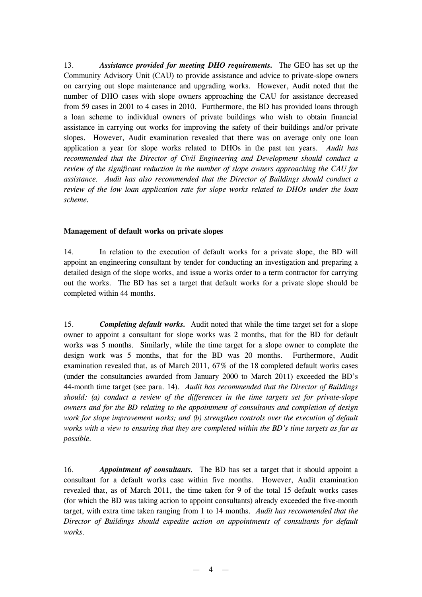13. *Assistance provided for meeting DHO requirements.* The GEO has set up the Community Advisory Unit (CAU) to provide assistance and advice to private-slope owners on carrying out slope maintenance and upgrading works. However, Audit noted that the number of DHO cases with slope owners approaching the CAU for assistance decreased from 59 cases in 2001 to 4 cases in 2010. Furthermore, the BD has provided loans through a loan scheme to individual owners of private buildings who wish to obtain financial assistance in carrying out works for improving the safety of their buildings and/or private slopes. However, Audit examination revealed that there was on average only one loan application a year for slope works related to DHOs in the past ten years. *Audit has recommended that the Director of Civil Engineering and Development should conduct a review of the significant reduction in the number of slope owners approaching the CAU for assistance. Audit has also recommended that the Director of Buildings should conduct a review of the low loan application rate for slope works related to DHOs under the loan scheme.* 

#### **Management of default works on private slopes**

14. In relation to the execution of default works for a private slope, the BD will appoint an engineering consultant by tender for conducting an investigation and preparing a detailed design of the slope works, and issue a works order to a term contractor for carrying out the works. The BD has set a target that default works for a private slope should be completed within 44 months.

15. *Completing default works.* Audit noted that while the time target set for a slope owner to appoint a consultant for slope works was 2 months, that for the BD for default works was 5 months. Similarly, while the time target for a slope owner to complete the design work was 5 months, that for the BD was 20 months. Furthermore, Audit examination revealed that, as of March 2011, 67% of the 18 completed default works cases (under the consultancies awarded from January 2000 to March 2011) exceeded the BD's 44-month time target (see para. 14). *Audit has recommended that the Director of Buildings should: (a) conduct a review of the differences in the time targets set for private-slope owners and for the BD relating to the appointment of consultants and completion of design work for slope improvement works; and (b) strengthen controls over the execution of default works with a view to ensuring that they are completed within the BD's time targets as far as possible.*

16. *Appointment of consultants.* The BD has set a target that it should appoint a consultant for a default works case within five months. However, Audit examination revealed that, as of March 2011, the time taken for 9 of the total 15 default works cases (for which the BD was taking action to appoint consultants) already exceeded the five-month target, with extra time taken ranging from 1 to 14 months. *Audit has recommended that the Director of Buildings should expedite action on appointments of consultants for default works.*